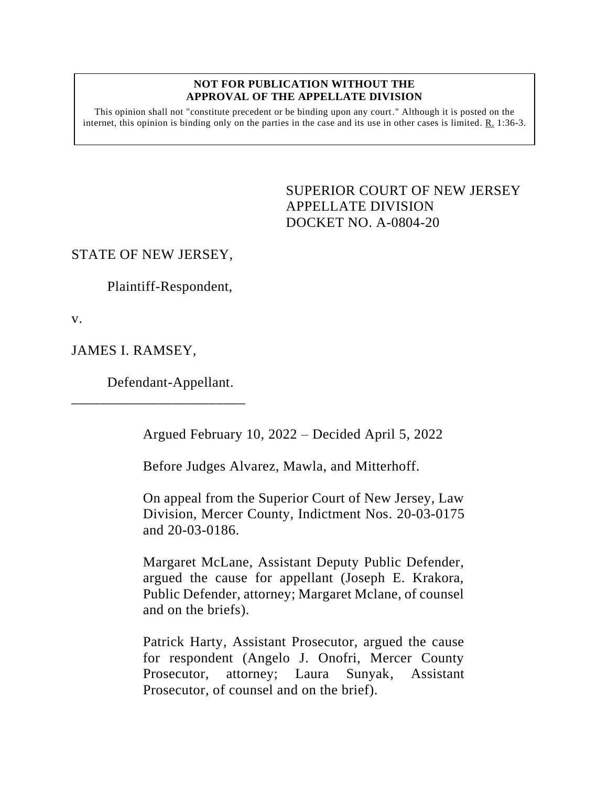#### **NOT FOR PUBLICATION WITHOUT THE APPROVAL OF THE APPELLATE DIVISION**

This opinion shall not "constitute precedent or be binding upon any court." Although it is posted on the internet, this opinion is binding only on the parties in the case and its use in other cases is limited. R. 1:36-3.

> <span id="page-0-0"></span>SUPERIOR COURT OF NEW JERSEY APPELLATE DIVISION DOCKET NO. A-0804-20

STATE OF NEW JERSEY,

Plaintiff-Respondent,

v.

JAMES I. RAMSEY,

Defendant-Appellant.

\_\_\_\_\_\_\_\_\_\_\_\_\_\_\_\_\_\_\_\_\_\_\_\_

Argued February 10, 2022 – Decided April 5, 2022

Before Judges Alvarez, Mawla, and Mitterhoff.

On appeal from the Superior Court of New Jersey, Law Division, Mercer County, Indictment Nos. 20-03-0175 and 20-03-0186.

Margaret McLane, Assistant Deputy Public Defender, argued the cause for appellant (Joseph E. Krakora, Public Defender, attorney; Margaret Mclane, of counsel and on the briefs).

Patrick Harty, Assistant Prosecutor, argued the cause for respondent (Angelo J. Onofri, Mercer County Prosecutor, attorney; Laura Sunyak, Assistant Prosecutor, of counsel and on the brief).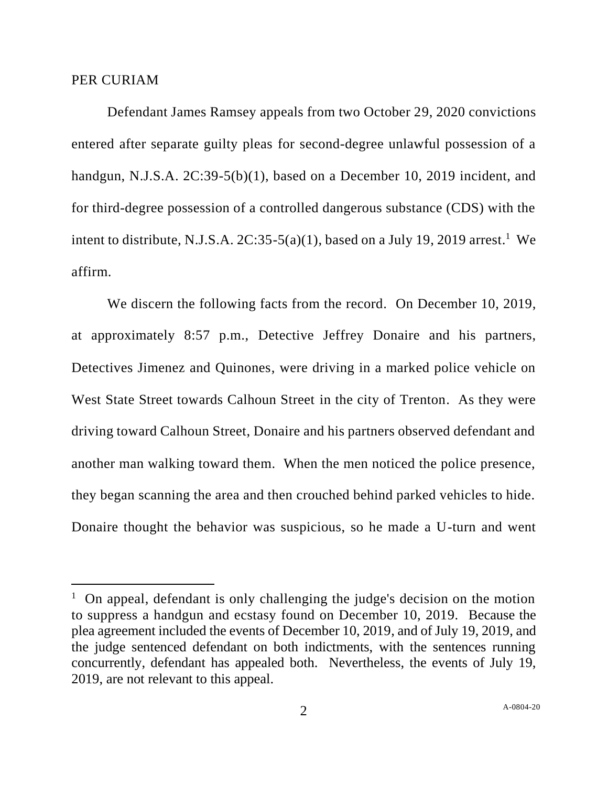### PER CURIAM

Defendant James Ramsey appeals from two October 29, 2020 convictions entered after separate guilty pleas for second-degree unlawful possession of a handgun, N.J.S.A. 2C:39-5(b)(1), based on a December 10, 2019 incident, and for third-degree possession of a controlled dangerous substance (CDS) with the intent to distribute, N.J.S.A.  $2C:35-5(a)(1)$ , based on a July 19, 2019 arrest.<sup>1</sup> We affirm.

We discern the following facts from the record. On December 10, 2019, at approximately 8:57 p.m., Detective Jeffrey Donaire and his partners, Detectives Jimenez and Quinones, were driving in a marked police vehicle on West State Street towards Calhoun Street in the city of Trenton. As they were driving toward Calhoun Street, Donaire and his partners observed defendant and another man walking toward them. When the men noticed the police presence, they began scanning the area and then crouched behind parked vehicles to hide. Donaire thought the behavior was suspicious, so he made a U-turn and went

<sup>&</sup>lt;sup>1</sup> On appeal, defendant is only challenging the judge's decision on the motion to suppress a handgun and ecstasy found on December 10, 2019. Because the plea agreement included the events of December 10, 2019, and of July 19, 2019, and the judge sentenced defendant on both indictments, with the sentences running concurrently, defendant has appealed both. Nevertheless, the events of July 19, 2019, are not relevant to this appeal.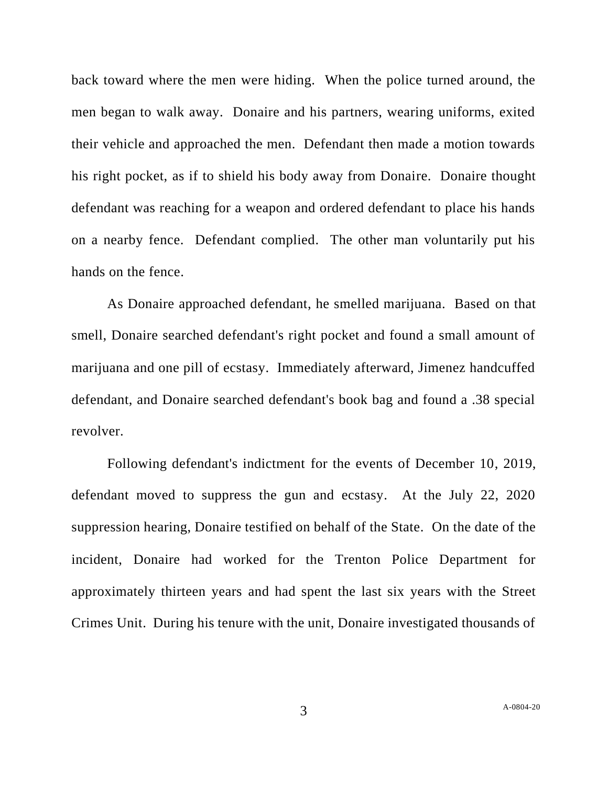back toward where the men were hiding. When the police turned around, the men began to walk away. Donaire and his partners, wearing uniforms, exited their vehicle and approached the men. Defendant then made a motion towards his right pocket, as if to shield his body away from Donaire. Donaire thought defendant was reaching for a weapon and ordered defendant to place his hands on a nearby fence. Defendant complied. The other man voluntarily put his hands on the fence.

As Donaire approached defendant, he smelled marijuana. Based on that smell, Donaire searched defendant's right pocket and found a small amount of marijuana and one pill of ecstasy. Immediately afterward, Jimenez handcuffed defendant, and Donaire searched defendant's book bag and found a .38 special revolver.

Following defendant's indictment for the events of December 10, 2019, defendant moved to suppress the gun and ecstasy. At the July 22, 2020 suppression hearing, Donaire testified on behalf of the State. On the date of the incident, Donaire had worked for the Trenton Police Department for approximately thirteen years and had spent the last six years with the Street Crimes Unit. During his tenure with the unit, Donaire investigated thousands of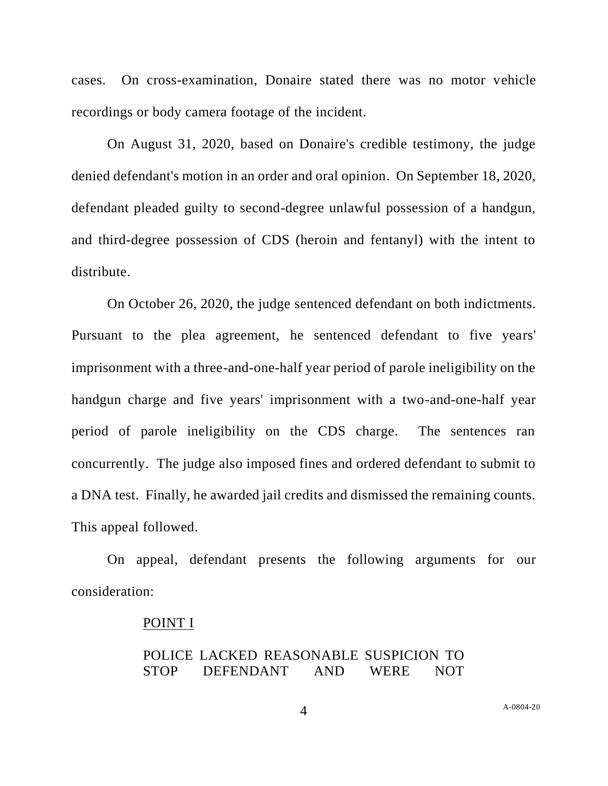cases. On cross-examination, Donaire stated there was no motor vehicle recordings or body camera footage of the incident.

On August 31, 2020, based on Donaire's credible testimony, the judge denied defendant's motion in an order and oral opinion. On September 18, 2020, defendant pleaded guilty to second-degree unlawful possession of a handgun, and third-degree possession of CDS (heroin and fentanyl) with the intent to distribute.

On October 26, 2020, the judge sentenced defendant on both indictments. Pursuant to the plea agreement, he sentenced defendant to five years' imprisonment with a three-and-one-half year period of parole ineligibility on the handgun charge and five years' imprisonment with a two-and-one-half year period of parole ineligibility on the CDS charge. The sentences ran concurrently. The judge also imposed fines and ordered defendant to submit to a DNA test. Finally, he awarded jail credits and dismissed the remaining counts. This appeal followed.

On appeal, defendant presents the following arguments for our consideration:

#### POINT I

## POLICE LACKED REASONABLE SUSPICION TO STOP DEFENDANT AND WERE NOT

A[-0804-20](#page-0-0)

4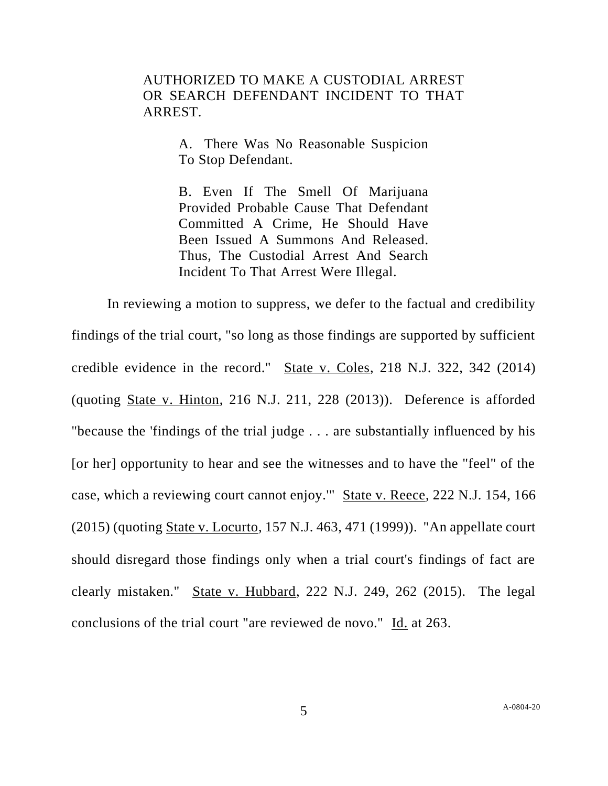# AUTHORIZED TO MAKE A CUSTODIAL ARREST OR SEARCH DEFENDANT INCIDENT TO THAT ARREST.

A. There Was No Reasonable Suspicion To Stop Defendant.

B. Even If The Smell Of Marijuana Provided Probable Cause That Defendant Committed A Crime, He Should Have Been Issued A Summons And Released. Thus, The Custodial Arrest And Search Incident To That Arrest Were Illegal.

In reviewing a motion to suppress, we defer to the factual and credibility findings of the trial court, "so long as those findings are supported by sufficient credible evidence in the record." State v. Coles, 218 N.J. 322, 342 (2014) (quoting State v. Hinton, 216 N.J. 211, 228 (2013)). Deference is afforded "because the 'findings of the trial judge . . . are substantially influenced by his [or her] opportunity to hear and see the witnesses and to have the "feel" of the case, which a reviewing court cannot enjoy.'" State v. Reece, 222 N.J. 154, 166 (2015) (quoting State v. Locurto, 157 N.J. 463, 471 (1999)). "An appellate court should disregard those findings only when a trial court's findings of fact are clearly mistaken." State v. Hubbard, 222 N.J. 249, 262 (2015). The legal conclusions of the trial court "are reviewed de novo." Id. at 263.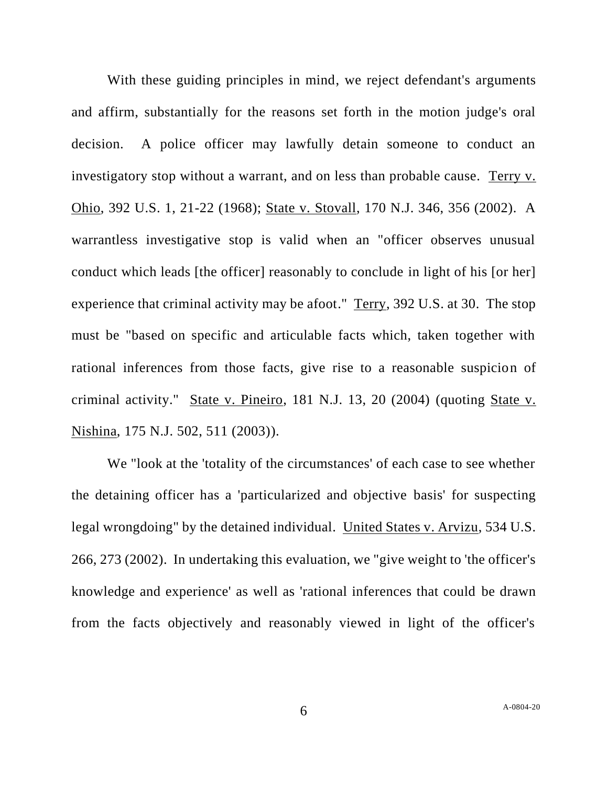With these guiding principles in mind, we reject defendant's arguments and affirm, substantially for the reasons set forth in the motion judge's oral decision. A police officer may lawfully detain someone to conduct an investigatory stop without a warrant, and on less than probable cause. Terry v. Ohio, 392 U.S. 1, 21-22 (1968); State v. Stovall, 170 N.J. 346, 356 (2002). A warrantless investigative stop is valid when an "officer observes unusual conduct which leads [the officer] reasonably to conclude in light of his [or her] experience that criminal activity may be afoot." Terry, 392 U.S. at 30. The stop must be "based on specific and articulable facts which, taken together with rational inferences from those facts, give rise to a reasonable suspicion of criminal activity." State v. Pineiro, 181 N.J. 13, 20 (2004) (quoting State v. Nishina, 175 N.J. 502, 511 (2003)).

We "look at the 'totality of the circumstances' of each case to see whether the detaining officer has a 'particularized and objective basis' for suspecting legal wrongdoing" by the detained individual. United States v. Arvizu, 534 U.S. 266, 273 (2002). In undertaking this evaluation, we "give weight to 'the officer's knowledge and experience' as well as 'rational inferences that could be drawn from the facts objectively and reasonably viewed in light of the officer's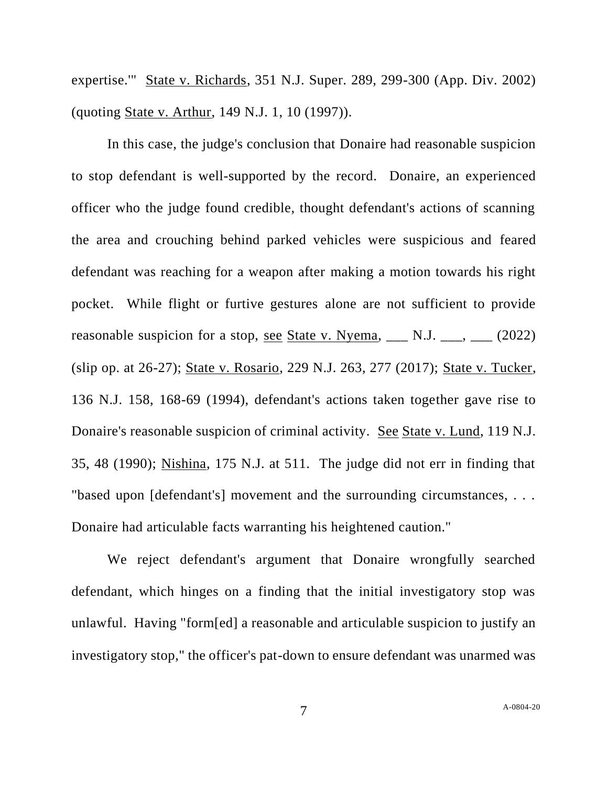expertise.'" State v. Richards, 351 N.J. Super. 289, 299-300 (App. Div. 2002) (quoting State v. Arthur, 149 N.J. 1, 10 (1997)).

In this case, the judge's conclusion that Donaire had reasonable suspicion to stop defendant is well-supported by the record. Donaire, an experienced officer who the judge found credible, thought defendant's actions of scanning the area and crouching behind parked vehicles were suspicious and feared defendant was reaching for a weapon after making a motion towards his right pocket. While flight or furtive gestures alone are not sufficient to provide reasonable suspicion for a stop, see State v. Nyema,  $\Box$  N.J.  $\Box$ ,  $\Box$  (2022) (slip op. at 26-27); State v. Rosario, 229 N.J. 263, 277 (2017); State v. Tucker, 136 N.J. 158, 168-69 (1994), defendant's actions taken together gave rise to Donaire's reasonable suspicion of criminal activity. See State v. Lund, 119 N.J. 35, 48 (1990); Nishina, 175 N.J. at 511. The judge did not err in finding that "based upon [defendant's] movement and the surrounding circumstances, . . . Donaire had articulable facts warranting his heightened caution."

We reject defendant's argument that Donaire wrongfully searched defendant, which hinges on a finding that the initial investigatory stop was unlawful. Having "form[ed] a reasonable and articulable suspicion to justify an investigatory stop," the officer's pat-down to ensure defendant was unarmed was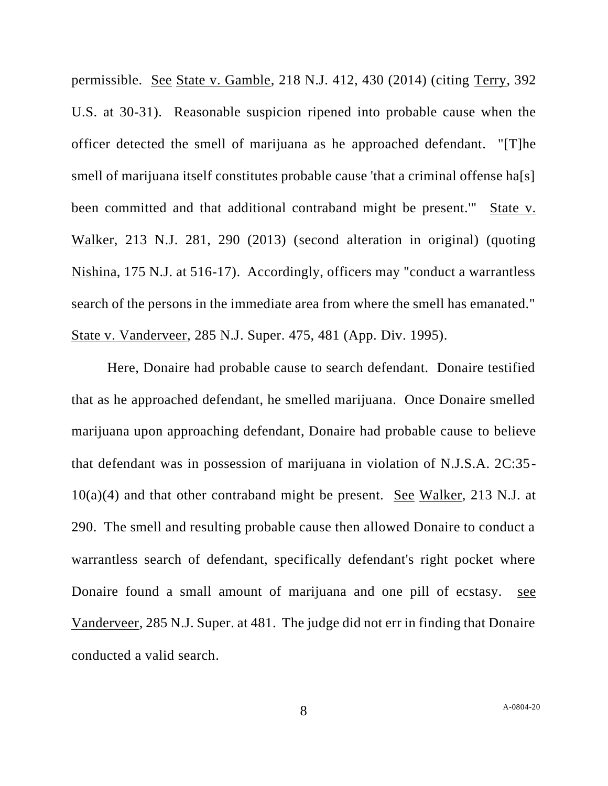permissible. See State v. Gamble, 218 N.J. 412, 430 (2014) (citing Terry, 392 U.S. at 30-31). Reasonable suspicion ripened into probable cause when the officer detected the smell of marijuana as he approached defendant. "[T]he smell of marijuana itself constitutes probable cause 'that a criminal offense ha<sup>[s]</sup> been committed and that additional contraband might be present.'" State v. Walker, 213 N.J. 281, 290 (2013) (second alteration in original) (quoting Nishina, 175 N.J. at 516-17). Accordingly, officers may "conduct a warrantless search of the persons in the immediate area from where the smell has emanated." State v. Vanderveer, 285 N.J. Super. 475, 481 (App. Div. 1995).

Here, Donaire had probable cause to search defendant. Donaire testified that as he approached defendant, he smelled marijuana. Once Donaire smelled marijuana upon approaching defendant, Donaire had probable cause to believe that defendant was in possession of marijuana in violation of N.J.S.A. 2C:35-  $10(a)(4)$  and that other contraband might be present. See Walker, 213 N.J. at 290. The smell and resulting probable cause then allowed Donaire to conduct a warrantless search of defendant, specifically defendant's right pocket where Donaire found a small amount of marijuana and one pill of ecstasy. see Vanderveer, 285 N.J. Super. at 481. The judge did not err in finding that Donaire conducted a valid search.